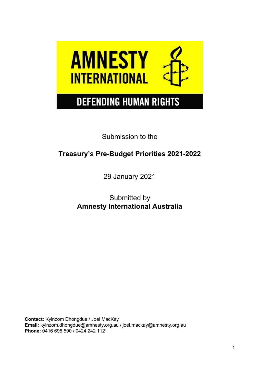

# **DEFENDING HUMAN RIGHTS**

Submission to the

# **Treasury's Pre-Budget Priorities 2021-2022**

29 January 2021

Submitted by **Amnesty International Australia**

**Contact:** Kyinzom Dhongdue / Joel MacKay **Email:** [kyinzom.dhongdue@amnesty.org.au](mailto:kyinzom.dhongdue@amnesty.org.au) / joel.mackay@amnesty.org.au **Phone:** 0416 695 590 / 0424 242 112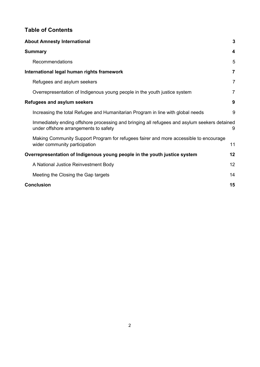# **Table of Contents**

| <b>About Amnesty International</b>                                                                                                    | $\mathbf{3}$   |
|---------------------------------------------------------------------------------------------------------------------------------------|----------------|
| <b>Summary</b>                                                                                                                        | 4              |
| Recommendations                                                                                                                       | 5              |
| International legal human rights framework                                                                                            | $\overline{7}$ |
| Refugees and asylum seekers                                                                                                           | $\overline{7}$ |
| Overrepresentation of Indigenous young people in the youth justice system                                                             | 7              |
| <b>Refugees and asylum seekers</b>                                                                                                    | 9              |
| Increasing the total Refugee and Humanitarian Program in line with global needs                                                       | 9              |
| Immediately ending offshore processing and bringing all refugees and asylum seekers detained<br>under offshore arrangements to safety | 9              |
| Making Community Support Program for refugees fairer and more accessible to encourage<br>wider community participation                | 11             |
| Overrepresentation of Indigenous young people in the youth justice system                                                             | 12             |
| A National Justice Reinvestment Body                                                                                                  | 12             |
| Meeting the Closing the Gap targets                                                                                                   | 14             |
| <b>Conclusion</b>                                                                                                                     | 15             |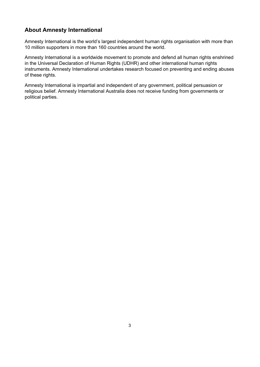# <span id="page-2-0"></span>**About Amnesty International**

Amnesty International is the world's largest independent human rights organisation with more than 10 million supporters in more than 160 countries around the world.

Amnesty International is a worldwide movement to promote and defend all human rights enshrined in the Universal Declaration of Human Rights (UDHR) and other international human rights instruments. Amnesty International undertakes research focused on preventing and ending abuses of these rights.

Amnesty International is impartial and independent of any government, political persuasion or religious belief. Amnesty International Australia does not receive funding from governments or political parties.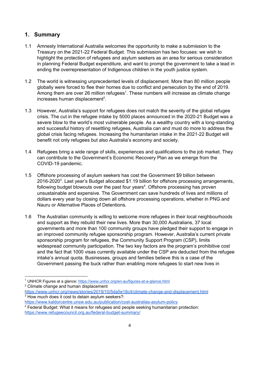# <span id="page-3-0"></span>**1. Summary**

- 1.1 Amnesty International Australia welcomes the opportunity to make a submission to the Treasury on the 2021-22 Federal Budget. This submission has two focuses: we wish to highlight the protection of refugees and asylum seekers as an area for serious consideration in planning Federal Budget expenditure, and want to prompt the government to take a lead in ending the overrepresentation of Indigenous children in the youth justice system.
- 1.2 The world is witnessing unprecedented levels of displacement. More than 80 million people globally were forced to flee their homes due to conflict and persecution by the end of 2019. Among them are over 26 million refugees<sup>1</sup>. These numbers will increase as climate change increases human displacement<sup>2</sup>.
- 1.3 However, Australia's support for refugees does not match the severity of the global refugee crisis. The cut in the refugee intake by 5000 places announced in the 2020-21 Budget was a severe blow to the world's most vulnerable people. As a wealthy country with a long-standing and successful history of resettling refugees, Australia can and must do more to address the global crisis facing refugees. Increasing the humanitarian intake in the 2021-22 Budget will benefit not only refugees but also Australia's economy and society.
- 1.4 Refugees bring a wide range of skills, experiences and qualifications to the job market. They can contribute to the Government's Economic Recovery Plan as we emerge from the COVID-19 pandemic.
- 1.5 Offshore processing of asylum seekers has cost the Government \$9 billion between 2016-2020<sup>3</sup>. Last year's Budget allocated \$1.19 billion for offshore processing arrangements, following budget blowouts over the past four years<sup>4</sup>. Offshore processing has proven unsustainable and expensive. The Government can save hundreds of lives and millions of dollars every year by closing down all offshore processing operations, whether in PNG and Nauru or Alternative Places of Detentions.
- 1.6 The Australian community is willing to welcome more refugees in their local neighbourhoods and support as they rebuild their new lives. More than 30,000 Australians, 37 local governments and more than 100 community groups have pledged their support to engage in an improved community refugee sponsorship program. However, Australia's current private sponsorship program for refugees, the Community Support Program (CSP), limits widespread community participation. The two key factors are the program's prohibitive cost and the fact that 1000 visas currently available under the CSP are deducted from the refugee intake's annual quota. Businesses, groups and families believe this is a case of the Government passing the buck rather than enabling more refugees to start new lives in

<sup>&</sup>lt;sup>1</sup> UNHCR Figures at a glance:<https://www.unhcr.org/en-au/figures-at-a-glance.html>

<sup>&</sup>lt;sup>2</sup> Climate change and human displacement

<https://www.unhcr.org/news/stories/2019/10/5da5e18c4/climate-change-and-displacement.html> <sup>3</sup> How much does it cost to detain asylum seekers?:

<https://www.kaldorcentre.unsw.edu.au/publication/cost-australias-asylum-policy>

<sup>4</sup> Federal Budget: What it means for refugees and people seeking humanitarian protection: <https://www.refugeecouncil.org.au/federal-budget-summary/>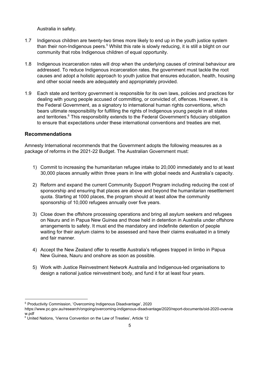Australia in safety.

- 1.7 Indigenous children are twenty-two times more likely to end up in the youth justice system than their non-Indigenous peers.<sup>5</sup> Whilst this rate is slowly reducing, it is still a blight on our community that robs Indigenous children of equal opportunity.
- 1.8 Indigenous incarceration rates will drop when the underlying causes of criminal behaviour are addressed. To reduce Indigenous incarceration rates, the government must tackle the root causes and adopt a holistic approach to youth justice that ensures education, health, housing and other social needs are adequately and appropriately provided.
- 1.9 Each state and territory government is responsible for its own laws, policies and practices for dealing with young people accused of committing, or convicted of, offences. However, it is the Federal Government, as a signatory to international human rights conventions, which bears ultimate responsibility for fulfilling the rights of Indigenous young people in all states and territories.<sup>6</sup> This responsibility extends to the Federal Government's fiduciary obligation to ensure that expectations under these international conventions and treaties are met.

#### <span id="page-4-0"></span>**Recommendations**

Amnesty International recommends that the Government adopts the following measures as a package of reforms in the 2021-22 Budget. The Australian Government must:

- 1) Commit to increasing the humanitarian refugee intake to 20,000 immediately and to at least 30,000 places annually within three years in line with global needs and Australia's capacity.
- 2) Reform and expand the current Community Support Program including reducing the cost of sponsorship and ensuring that places are above and beyond the humanitarian resettlement quota. Starting at 1000 places, the program should at least allow the community sponsorship of 10,000 refugees annually over five years.
- 3) Close down the offshore processing operations and bring all asylum seekers and refugees on Nauru and in Papua New Guinea and those held in detention in Australia under offshore arrangements to safety. It must end the mandatory and indefinite detention of people waiting for their asylum claims to be assessed and have their claims evaluated in a timely and fair manner.
- 4) Accept the New Zealand offer to resettle Australia's refugees trapped in limbo in Papua New Guinea, Nauru and onshore as soon as possible.
- 5) Work with Justice Reinvestment Network Australia and Indigenous-led organisations to design a national justice reinvestment body, and fund it for at least four years.

<sup>5</sup> Productivity Commission, 'Overcoming Indigenous Disadvantage', 2020

https://www.pc.gov.au/research/ongoing/overcoming-indigenous-disadvantage/2020/report-documents/oid-2020-overvie w.pdf

<sup>&</sup>lt;sup>6</sup> United Nations, 'Vienna Convention on the Law of Treaties', Article 12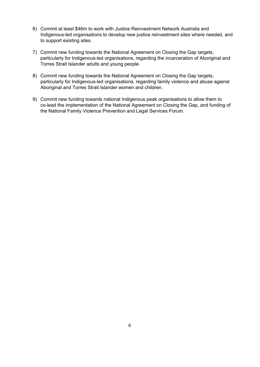- 6) Commit at least \$46m to work with Justice Reinvestment Network Australia and Indigenous-led organisations to develop new justice reinvestment sites where needed, and to support existing sites.
- 7) Commit new funding towards the National Agreement on Closing the Gap targets, particularly for Indigenous-led organisations, regarding the incarceration of Aboriginal and Torres Strait Islander adults and young people.
- 8) Commit new funding towards the National Agreement on Closing the Gap targets, particularly for Indigenous-led organisations, regarding family violence and abuse against Aboriginal and Torres Strait Islander women and children.
- 9) Commit new funding towards national Indigenous peak organisations to allow them to co-lead the implementation of the National Agreement on Closing the Gap, and funding of the National Family Violence Prevention and Legal Services Forum.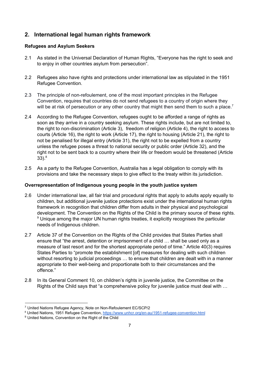# <span id="page-6-0"></span>**2. International legal human rights framework**

## <span id="page-6-1"></span>**Refugees and Asylum Seekers**

- 2.1 As stated in the Universal Declaration of Human Rights, "Everyone has the right to seek and to enjoy in other countries asylum from persecution".
- 2.2 Refugees also have rights and protections under international law as stipulated in the 1951 Refugee Convention.
- 2.3 The principle of non-refoulement, one of the most important principles in the Refugee Convention, requires that countries do not send refugees to a country of origin where they will be at risk of persecution or any other country that might then send them to such a place.<sup>7</sup>
- 2.4 According to the Refugee Convention, refugees ought to be afforded a range of rights as soon as they arrive in a country seeking asylum. These rights include, but are not limited to, the right to non-discrimination (Article 3), freedom of religion (Article 4), the right to access to courts (Article 16), the right to work (Article 17), the right to housing (Article 21), the right to not be penalised for illegal entry (Article 31), the right not to be expelled from a country unless the refugee poses a threat to national security or public order (Article 32), and the right not to be sent back to a country where their life or freedom would be threatened (Article 33). 8
- 2.5 As a party to the Refugee Convention, Australia has a legal obligation to comply with its provisions and take the necessary steps to give effect to the treaty within its jurisdiction.

### <span id="page-6-2"></span>**Overrepresentation of Indigenous young people in the youth justice system**

- 2.6 Under international law, all fair trial and procedural rights that apply to adults apply equally to children, but additional juvenile justice protections exist under the international human rights framework in recognition that children differ from adults in their physical and psychological development. The Convention on the Rights of the Child is the primary source of these rights. <sup>9</sup> Unique among the major UN human rights treaties, it explicitly recognises the particular needs of Indigenous children.
- 2.7 Article 37 of the Convention on the Rights of the Child provides that States Parties shall ensure that "the arrest, detention or imprisonment of a child … shall be used only as a measure of last resort and for the shortest appropriate period of time." Article 40(3) requires States Parties to "promote the establishment [of] measures for dealing with such children without resorting to judicial proceedings ... to ensure that children are dealt with in a manner appropriate to their well-being and proportionate both to their circumstances and the offence."
- 2.8 In its General Comment 10, on children's rights in juvenile justice, the Committee on the Rights of the Child says that "a comprehensive policy for juvenile justice must deal with …

<sup>7</sup> United Nations Refugee Agency, Note on Non-Refoulement EC/SCP/2

<sup>&</sup>lt;sup>8</sup> United Nations, 1951 Refugee Convention, <https://www.unhcr.org/en-au/1951-refugee-convention.html>

<sup>&</sup>lt;sup>9</sup> United Nations, Convention on the Right of the Child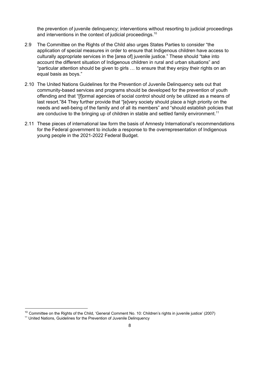the prevention of juvenile delinquency; interventions without resorting to judicial proceedings and interventions in the context of judicial proceedings.<sup>10</sup>

- 2.9 The Committee on the Rights of the Child also urges States Parties to consider "the application of special measures in order to ensure that Indigenous children have access to culturally appropriate services in the [area of] juvenile justice." These should "take into account the different situation of Indigenous children in rural and urban situations" and "particular attention should be given to girls … to ensure that they enjoy their rights on an equal basis as boys."
- 2.10 The United Nations Guidelines for the Prevention of Juvenile Delinquency sets out that community-based services and programs should be developed for the prevention of youth offending and that "[flormal agencies of social control should only be utilized as a means of last resort."84 They further provide that "[e]very society should place a high priority on the needs and well-being of the family and of all its members" and "should establish policies that are conducive to the bringing up of children in stable and settled family environment.<sup>11</sup>
- 2.11 These pieces of international law form the basis of Amnesty International's recommendations for the Federal government to include a response to the overrepresentation of Indigenous young people in the 2021-2022 Federal Budget.

<sup>&</sup>lt;sup>10</sup> Committee on the Rights of the Child, 'General Comment No. 10: Children's rights in juvenile justice' (2007)

<sup>&</sup>lt;sup>11</sup> United Nations, Guidelines for the Prevention of Juvenile Delinquency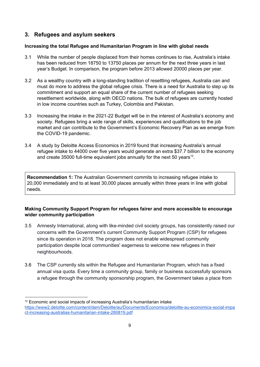# <span id="page-8-0"></span>**3. Refugees and asylum seekers**

#### <span id="page-8-1"></span>**Increasing the total Refugee and Humanitarian Program in line with global needs**

- 3.1 While the number of people displaced from their homes continues to rise, Australia's intake has been reduced from 18750 to 13750 places per annum for the next three years in last year's Budget. In comparison, the program before 2013 allowed 20000 places per year.
- 3.2 As a wealthy country with a long-standing tradition of resettling refugees, Australia can and must do more to address the global refugee crisis. There is a need for Australia to step up its commitment and support an equal share of the current number of refugees seeking resettlement worldwide, along with OECD nations. The bulk of refugees are currently hosted in low income countries such as Turkey, Colombia and Pakistan.
- 3.3 Increasing the intake in the 2021-22 Budget will be in the interest of Australia's economy and society. Refugees bring a wide range of skills, experiences and qualifications to the job market and can contribute to the Government's Economic Recovery Plan as we emerge from the COVID-19 pandemic.
- 3.4 A study by Deloitte Access Economics in 2019 found that increasing Australia's annual refugee intake to 44000 over five years would generate an extra \$37.7 billion to the economy and create 35000 full-time equivalent jobs annually for the next 50 years<sup>12</sup>.

**Recommendation 1:** The Australian Government commits to increasing refugee intake to 20,000 immediately and to at least 30,000 places annually within three years in line with global needs.

#### <span id="page-8-2"></span>**Making Community Support Program for refugees fairer and more accessible to encourage wider community participation**

- 3.5 Amnesty International, along with like-minded civil society groups, has consistently raised our concerns with the Government's current Community Support Program (CSP) for refugees since its operation in 2018. The program does not enable widespread community participation despite local communities' eagerness to welcome new refugees in their neighbourhoods.
- 3.6 The CSP currently sits within the Refugee and Humanitarian Program, which has a fixed annual visa quota. Every time a community group, family or business successfully sponsors a refugee through the community sponsorship program, the Government takes a place from

 $12$  Economic and social impacts of increasing Australia's humanitarian intake [https://www2.deloitte.com/content/dam/Deloitte/au/Documents/Economics/deloitte-au-economics-social-impa](https://www2.deloitte.com/content/dam/Deloitte/au/Documents/Economics/deloitte-au-economics-social-impact-increasing-australias-humanitarian-intake-280819.pdf) [ct-increasing-australias-humanitarian-intake-280819.pdf](https://www2.deloitte.com/content/dam/Deloitte/au/Documents/Economics/deloitte-au-economics-social-impact-increasing-australias-humanitarian-intake-280819.pdf)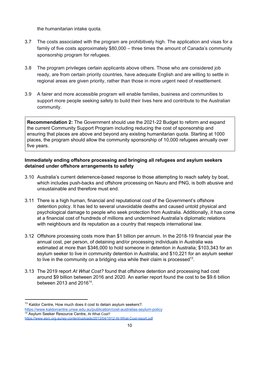the humanitarian intake quota.

- 3.7 The costs associated with the program are prohibitively high. The application and visas for a family of five costs approximately \$80,000 – three times the amount of Canada's community sponsorship program for refugees.
- 3.8 The program privileges certain applicants above others. Those who are considered job ready, are from certain priority countries, have adequate English and are willing to settle in regional areas are given priority, rather than those in more urgent need of resettlement.
- 3.9 A fairer and more accessible program will enable families, business and communities to support more people seeking safety to build their lives here and contribute to the Australian community.

**Recommendation 2:** The Government should use the 2021-22 Budget to reform and expand the current Community Support Program including reducing the cost of sponsorship and ensuring that places are above and beyond any existing humanitarian quota. Starting at 1000 places, the program should allow the community sponsorship of 10,000 refugees annually over five years.

#### **Immediately ending offshore processing and bringing all refugees and asylum seekers detained under offshore arrangements to safety**

- 3.10 Australia's current deterrence-based response to those attempting to reach safety by boat, which includes push-backs and offshore processing on Nauru and PNG, is both abusive and unsustainable and therefore must end.
- 3.11 There is a high human, financial and reputational cost of the Government's offshore detention policy. It has led to several unavoidable deaths and caused untold physical and psychological damage to people who seek protection from Australia. Additionally, it has come at a financial cost of hundreds of millions and undermined Australia's diplomatic relations with neighbours and its reputation as a country that respects international law.
- 3.12 Offshore processing costs more than \$1 billion per annum. In the 2018-19 financial year the annual cost, per person, of detaining and/or processing individuals in Australia was estimated at more than \$346,000 to hold someone in detention in Australia; \$103,343 for an asylum seeker to live in community detention in Australia; and \$10,221 for an asylum seeker to live in the community on a bridging visa while their claim is processed<sup>13</sup>.
- 3.13 The 2019 report *At What Cost?* found that offshore detention and processing had cost around \$9 billion between 2016 and 2020. An earlier report found the cost to be \$9.6 billion between 2013 and 2016<sup>14</sup>.

<sup>&</sup>lt;sup>13</sup> Kaldor Centre, How much does it cost to detain asylum seekers?: <https://www.kaldorcentre.unsw.edu.au/publication/cost-australias-asylum-policy> <sup>14</sup> Asylum Seeker Resource Centre, At What Cost?

<https://www.asrc.org.au/wp-content/uploads/2013/04/1912-At-What-Cost-report.pdf>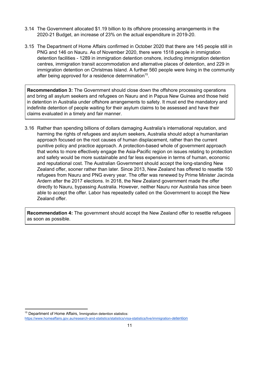- 3.14 The Government allocated \$1.19 billion to its offshore processing arrangements in the 2020-21 Budget, an increase of 23% on the actual expenditure in 2019-20.
- 3.15 The Department of Home Affairs confirmed in October 2020 that there are 145 people still in PNG and 146 on Nauru. As of November 2020, there were 1518 people in immigration detention facilities - 1289 in immigration detention onshore, including immigration detention centres, immigration transit accommodation and alternative places of detention, and 229 in immigration detention on Christmas Island. A further 560 people were living in the community after being approved for a residence determination<sup>15</sup>.

**Recommendation 3:** The Government should close down the offshore processing operations and bring all asylum seekers and refugees on Nauru and in Papua New Guinea and those held in detention in Australia under offshore arrangements to safety. It must end the mandatory and indefinite detention of people waiting for their asylum claims to be assessed and have their claims evaluated in a timely and fair manner.

3.16 Rather than spending billions of dollars damaging Australia's international reputation, and harming the rights of refugees and asylum seekers, Australia should adopt a humanitarian approach focused on the root causes of human displacement, rather than the current punitive policy and practice approach. A protection-based whole of government approach that works to more effectively engage the Asia-Pacific region on issues relating to protection and safety would be more sustainable and far less expensive in terms of human, economic and reputational cost. The Australian Government should accept the long-standing New Zealand offer, sooner rather than later. Since 2013, New Zealand has offered to resettle 150 refugees from Nauru and PNG every year. The offer was renewed by Prime Minister Jacinda Ardern after the 2017 elections. In 2018, the New Zealand government made the offer directly to Nauru, bypassing Australia. However, neither Nauru nor Australia has since been able to accept the offer. Labor has repeatedly called on the Government to accept the New Zealand offer.

<span id="page-10-0"></span>**Recommendation 4:** The government should accept the New Zealand offer to resettle refugees as soon as possible.

<sup>&</sup>lt;sup>15</sup> Department of Home Affairs, Immigration detention statistics:

[https://www.homeaffairs.gov.au/research-and-statistics/statistics/visa-statistics/live/immigration-d](https://www.homeaffairs.gov.au/research-and-statistics/statistics/visa-statistics/live/immigration-detention)[etention](https://www.homeaffairs.gov.au/research-and-statistics/statistics/visa-statistics/live/immigration-detention)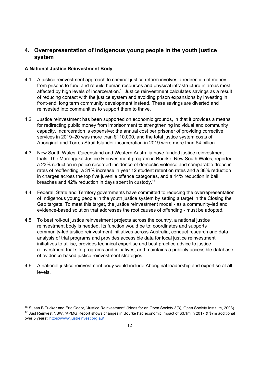# <span id="page-11-0"></span>**4. Overrepresentation of Indigenous young people in the youth justice system**

#### <span id="page-11-1"></span>**A National Justice Reinvestment Body**

- 4.1 A justice reinvestment approach to criminal justice reform involves a redirection of money from prisons to fund and rebuild human resources and physical infrastructure in areas most affected by high levels of incarceration.<sup>16</sup> Justice reinvestment calculates savings as a result of reducing contact with the justice system and avoiding prison expansions by investing in front-end, long term community development instead. These savings are diverted and reinvested into communities to support them to thrive.
- 4.2 Justice reinvestment has been supported on economic grounds, in that it provides a means for redirecting public money from imprisonment to strengthening individual and community capacity. Incarceration is expensive: the annual cost per prisoner of providing corrective services in 2019–20 was more than \$110,000, and the total justice system costs of Aboriginal and Torres Strait Islander incarceration in 2019 were more than \$4 billion.
- 4.3 New South Wales, Queensland and Western Australia have funded justice reinvestment trials. The Maranguka Justice Reinvestment program in Bourke, New South Wales, reported a 23% reduction in police recorded incidence of domestic violence and comparable drops in rates of reoffending, a 31% increase in year 12 student retention rates and a 38% reduction in charges across the top five juvenile offence categories, and a 14% reduction in bail breaches and 42% reduction in days spent in custody.<sup>17</sup>
- 4.4 Federal, State and Territory governments have committed to reducing the overrepresentation of Indigenous young people in the youth justice system by setting a target in the Closing the Gap targets. To meet this target, the justice reinvestment model - as a community-led and evidence-based solution that addresses the root causes of offending - must be adopted.
- 4.5 To best roll-out justice reinvestment projects across the country, a national justice reinvestment body is needed. Its function would be to: coordinates and supports community-led justice reinvestment initiatives across Australia, conduct research and data analysis of trial programs and provides accessible data for local justice reinvestment initiatives to utilise, provides technical expertise and best practice advice to justice reinvestment trial site programs and initiatives, and maintains a publicly accessible database of evidence-based justice reinvestment strategies.
- 4.6 A national justice reinvestment body would include Aboriginal leadership and expertise at all levels.

<sup>&</sup>lt;sup>16</sup> Susan B Tucker and Eric Cador, 'Justice Reinvestment' (Ideas for an Open Society 3(3), Open Society Institute, 2003) <sup>17</sup> Just Reinvest NSW, 'KPMG Report shows changes in Bourke had economic impact of \$3.1m in 2017 & \$7m additional over 5 years':<https://www.justreinvest.org.au/>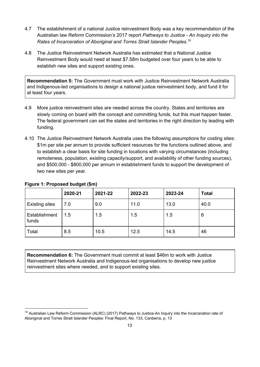- 4.7 The establishment of a national Justice reinvestment Body was a key recommendation of the Australian law Reform Commission's 2017 report *Pathways to Justice - An Inquiry into the Rates of Incarceration of Aboriginal and Torres Strait Islander Peoples.* 18
- 4.8 The Justice Reinvestment Network Australia has estimated that a National Justice Reinvestment Body would need at least \$7.58m budgeted over four years to be able to establish new sites and support existing ones.

**Recommendation 5:** The Government must work with Justice Reinvestment Network Australia and Indigenous-led organisations to design a national justice reinvestment body, and fund it for at least four years.

- 4.9 More justice reinvestment sites are needed across the country. States and territories are slowly coming on board with the concept and committing funds, but this must happen faster. The federal government can set the states and territories in the right direction by leading with funding.
- 4.10 The Justice Reinvestment Network Australia uses the following assumptions for costing sites: \$1m per site per annum to provide sufficient resources for the functions outlined above, and to establish a clear basis for site funding in locations with varying circumstances (including remoteness, population, existing capacity/support, and availability of other funding sources), and \$500,000 - \$800,000 per annum in establishment funds to support the development of two new sites per year.

|                        | 2020-21 | 2021-22 | 2022-23 | 2023-24 | <b>Total</b> |
|------------------------|---------|---------|---------|---------|--------------|
| <b>Existing sites</b>  | 7.0     | 9.0     | 11.0    | 13.0    | 40.0         |
| Establishment<br>funds | 1.5     | 1.5     | 1.5     | 1.5     | 6            |
| Total                  | 8.5     | 10.5    | 12.5    | 14.5    | 46           |

#### **Figure 1: Proposed budget (\$m)**

**Recommendation 6:** The Government must commit at least \$46m to work with Justice Reinvestment Network Australia and Indigenous-led organisations to develop new justice reinvestment sites where needed, and to support existing sites.

<sup>&</sup>lt;sup>18</sup> Australian Law Reform Commission (ALRC) (2017) Pathways to Justice-An Inquiry into the Incarceration rate of Aboriginal and Torres Strait Islander Peoples: Final Report, No. 133, Canberra, p. 13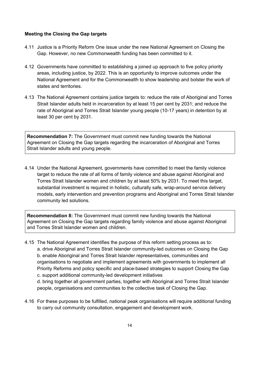#### <span id="page-13-0"></span>**Meeting the Closing the Gap targets**

- 4.11 Justice is a Priority Reform One issue under the new National Agreement on Closing the Gap. However, no new Commonwealth funding has been committed to it.
- 4.12 Governments have committed to establishing a joined up approach to five policy priority areas, including justice, by 2022. This is an opportunity to improve outcomes under the National Agreement and for the Commonwealth to show leadership and bolster the work of states and territories.
- 4.13 The National Agreement contains justice targets to: reduce the rate of Aboriginal and Torres Strait Islander adults held in incarceration by at least 15 per cent by 2031; and reduce the rate of Aboriginal and Torres Strait Islander young people (10-17 years) in detention by at least 30 per cent by 2031.

**Recommendation 7:** The Government must commit new funding towards the National Agreement on Closing the Gap targets regarding the incarceration of Aboriginal and Torres Strait Islander adults and young people.

4.14 Under the National Agreement, governments have committed to meet the family violence target to reduce the rate of all forms of family violence and abuse against Aboriginal and Torres Strait Islander women and children by at least 50% by 2031. To meet this target, substantial investment is required in holistic, culturally safe, wrap-around service delivery models, early intervention and prevention programs and Aboriginal and Torres Strait Islander community led solutions.

**Recommendation 8:** The Government must commit new funding towards the National Agreement on Closing the Gap targets regarding family violence and abuse against Aboriginal and Torres Strait Islander women and children.

4.15 The National Agreement identifies the purpose of this reform setting process as to: a. drive Aboriginal and Torres Strait Islander community-led outcomes on Closing the Gap b. enable Aboriginal and Torres Strait Islander representatives, communities and organisations to negotiate and implement agreements with governments to implement all Priority Reforms and policy specific and place-based strategies to support Closing the Gap c. support additional community-led development initiatives

d. bring together all government parties, together with Aboriginal and Torres Strait Islander people, organisations and communities to the collective task of Closing the Gap.

4.16 For these purposes to be fulfilled, national peak organisations will require additional funding to carry out community consultation, engagement and development work.